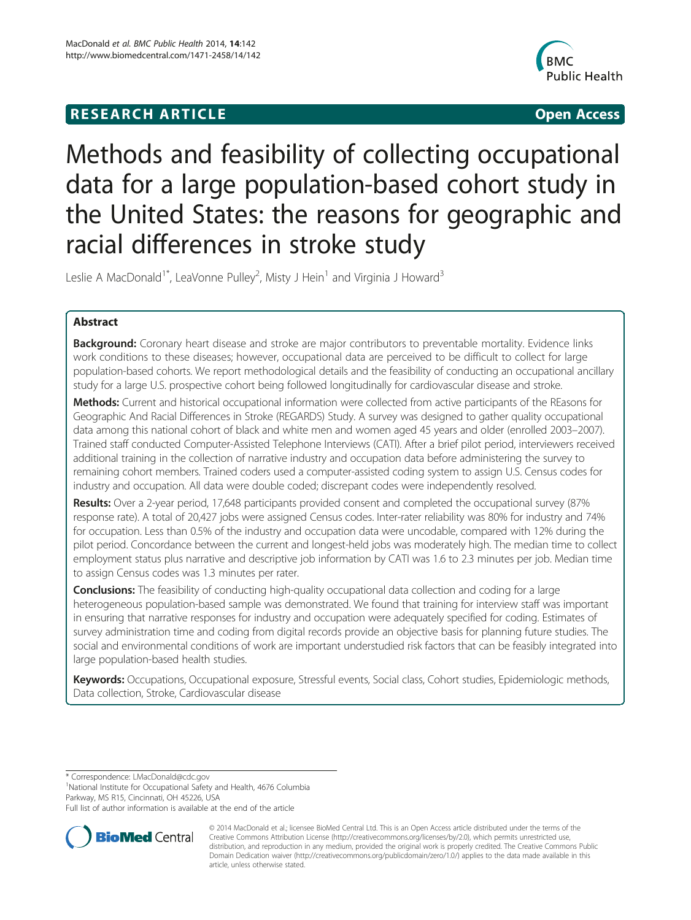# **RESEARCH ARTICLE CONSUMING A RESEARCH ARTICLE**



# Methods and feasibility of collecting occupational data for a large population-based cohort study in the United States: the reasons for geographic and racial differences in stroke study

Leslie A MacDonald<sup>1\*</sup>, LeaVonne Pulley<sup>2</sup>, Misty J Hein<sup>1</sup> and Virginia J Howard<sup>3</sup>

# Abstract

**Background:** Coronary heart disease and stroke are major contributors to preventable mortality. Evidence links work conditions to these diseases; however, occupational data are perceived to be difficult to collect for large population-based cohorts. We report methodological details and the feasibility of conducting an occupational ancillary study for a large U.S. prospective cohort being followed longitudinally for cardiovascular disease and stroke.

Methods: Current and historical occupational information were collected from active participants of the REasons for Geographic And Racial Differences in Stroke (REGARDS) Study. A survey was designed to gather quality occupational data among this national cohort of black and white men and women aged 45 years and older (enrolled 2003–2007). Trained staff conducted Computer-Assisted Telephone Interviews (CATI). After a brief pilot period, interviewers received additional training in the collection of narrative industry and occupation data before administering the survey to remaining cohort members. Trained coders used a computer-assisted coding system to assign U.S. Census codes for industry and occupation. All data were double coded; discrepant codes were independently resolved.

Results: Over a 2-year period, 17,648 participants provided consent and completed the occupational survey (87% response rate). A total of 20,427 jobs were assigned Census codes. Inter-rater reliability was 80% for industry and 74% for occupation. Less than 0.5% of the industry and occupation data were uncodable, compared with 12% during the pilot period. Concordance between the current and longest-held jobs was moderately high. The median time to collect employment status plus narrative and descriptive job information by CATI was 1.6 to 2.3 minutes per job. Median time to assign Census codes was 1.3 minutes per rater.

**Conclusions:** The feasibility of conducting high-quality occupational data collection and coding for a large heterogeneous population-based sample was demonstrated. We found that training for interview staff was important in ensuring that narrative responses for industry and occupation were adequately specified for coding. Estimates of survey administration time and coding from digital records provide an objective basis for planning future studies. The social and environmental conditions of work are important understudied risk factors that can be feasibly integrated into large population-based health studies.

Keywords: Occupations, Occupational exposure, Stressful events, Social class, Cohort studies, Epidemiologic methods, Data collection, Stroke, Cardiovascular disease

\* Correspondence: [LMacDonald@cdc.gov](mailto:LMacDonald@cdc.gov) <sup>1</sup>

<sup>1</sup>National Institute for Occupational Safety and Health, 4676 Columbia Parkway, MS R15, Cincinnati, OH 45226, USA

Full list of author information is available at the end of the article



<sup>© 2014</sup> MacDonald et al.; licensee BioMed Central Ltd. This is an Open Access article distributed under the terms of the Creative Commons Attribution License (<http://creativecommons.org/licenses/by/2.0>), which permits unrestricted use, distribution, and reproduction in any medium, provided the original work is properly credited. The Creative Commons Public Domain Dedication waiver [\(http://creativecommons.org/publicdomain/zero/1.0/\)](http://creativecommons.org/publicdomain/zero/1.0/) applies to the data made available in this article, unless otherwise stated.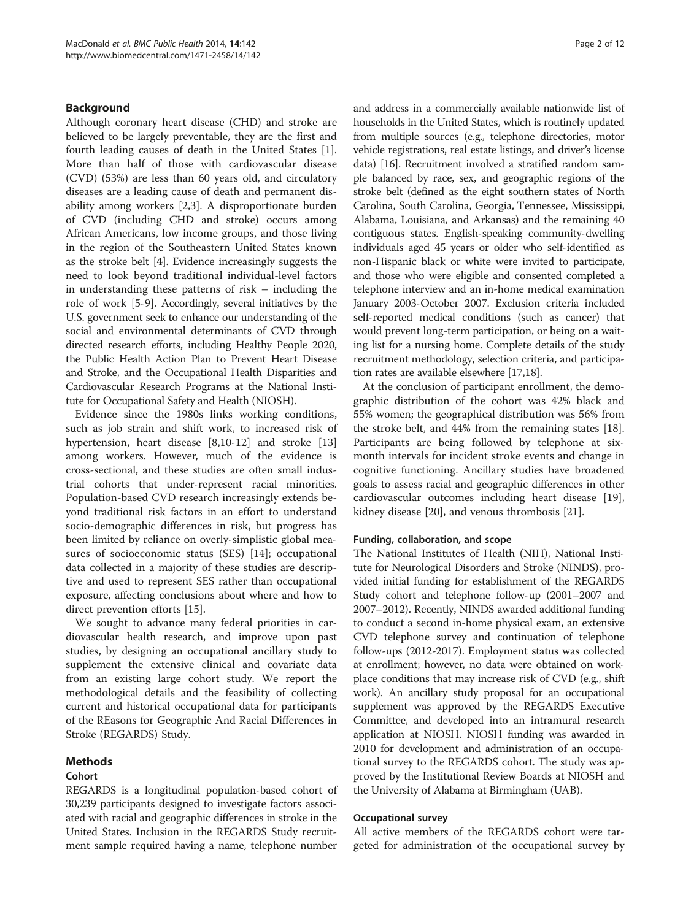# Background

Although coronary heart disease (CHD) and stroke are believed to be largely preventable, they are the first and fourth leading causes of death in the United States [\[1](#page-11-0)]. More than half of those with cardiovascular disease (CVD) (53%) are less than 60 years old, and circulatory diseases are a leading cause of death and permanent disability among workers [\[2,3](#page-11-0)]. A disproportionate burden of CVD (including CHD and stroke) occurs among African Americans, low income groups, and those living in the region of the Southeastern United States known as the stroke belt [\[4](#page-11-0)]. Evidence increasingly suggests the need to look beyond traditional individual-level factors in understanding these patterns of risk – including the role of work [\[5](#page-11-0)-[9\]](#page-11-0). Accordingly, several initiatives by the U.S. government seek to enhance our understanding of the social and environmental determinants of CVD through directed research efforts, including Healthy People 2020, the Public Health Action Plan to Prevent Heart Disease and Stroke, and the Occupational Health Disparities and Cardiovascular Research Programs at the National Institute for Occupational Safety and Health (NIOSH).

Evidence since the 1980s links working conditions, such as job strain and shift work, to increased risk of hypertension, heart disease [[8,10-12\]](#page-11-0) and stroke [[13](#page-11-0)] among workers. However, much of the evidence is cross-sectional, and these studies are often small industrial cohorts that under-represent racial minorities. Population-based CVD research increasingly extends beyond traditional risk factors in an effort to understand socio-demographic differences in risk, but progress has been limited by reliance on overly-simplistic global measures of socioeconomic status (SES) [[14](#page-11-0)]; occupational data collected in a majority of these studies are descriptive and used to represent SES rather than occupational exposure, affecting conclusions about where and how to direct prevention efforts [\[15\]](#page-11-0).

We sought to advance many federal priorities in cardiovascular health research, and improve upon past studies, by designing an occupational ancillary study to supplement the extensive clinical and covariate data from an existing large cohort study. We report the methodological details and the feasibility of collecting current and historical occupational data for participants of the REasons for Geographic And Racial Differences in Stroke (REGARDS) Study.

# Methods

# Cohort

REGARDS is a longitudinal population-based cohort of 30,239 participants designed to investigate factors associated with racial and geographic differences in stroke in the United States. Inclusion in the REGARDS Study recruitment sample required having a name, telephone number and address in a commercially available nationwide list of households in the United States, which is routinely updated from multiple sources (e.g., telephone directories, motor vehicle registrations, real estate listings, and driver's license data) [\[16](#page-11-0)]. Recruitment involved a stratified random sample balanced by race, sex, and geographic regions of the stroke belt (defined as the eight southern states of North Carolina, South Carolina, Georgia, Tennessee, Mississippi, Alabama, Louisiana, and Arkansas) and the remaining 40 contiguous states. English-speaking community-dwelling individuals aged 45 years or older who self-identified as non-Hispanic black or white were invited to participate, and those who were eligible and consented completed a telephone interview and an in-home medical examination January 2003-October 2007. Exclusion criteria included self-reported medical conditions (such as cancer) that would prevent long-term participation, or being on a waiting list for a nursing home. Complete details of the study recruitment methodology, selection criteria, and participation rates are available elsewhere [\[17,18](#page-11-0)].

At the conclusion of participant enrollment, the demographic distribution of the cohort was 42% black and 55% women; the geographical distribution was 56% from the stroke belt, and 44% from the remaining states [\[18](#page-11-0)]. Participants are being followed by telephone at sixmonth intervals for incident stroke events and change in cognitive functioning. Ancillary studies have broadened goals to assess racial and geographic differences in other cardiovascular outcomes including heart disease [\[19](#page-11-0)], kidney disease [\[20](#page-11-0)], and venous thrombosis [[21\]](#page-11-0).

#### Funding, collaboration, and scope

The National Institutes of Health (NIH), National Institute for Neurological Disorders and Stroke (NINDS), provided initial funding for establishment of the REGARDS Study cohort and telephone follow-up (2001–2007 and 2007–2012). Recently, NINDS awarded additional funding to conduct a second in-home physical exam, an extensive CVD telephone survey and continuation of telephone follow-ups (2012-2017). Employment status was collected at enrollment; however, no data were obtained on workplace conditions that may increase risk of CVD (e.g., shift work). An ancillary study proposal for an occupational supplement was approved by the REGARDS Executive Committee, and developed into an intramural research application at NIOSH. NIOSH funding was awarded in 2010 for development and administration of an occupational survey to the REGARDS cohort. The study was approved by the Institutional Review Boards at NIOSH and the University of Alabama at Birmingham (UAB).

#### Occupational survey

All active members of the REGARDS cohort were targeted for administration of the occupational survey by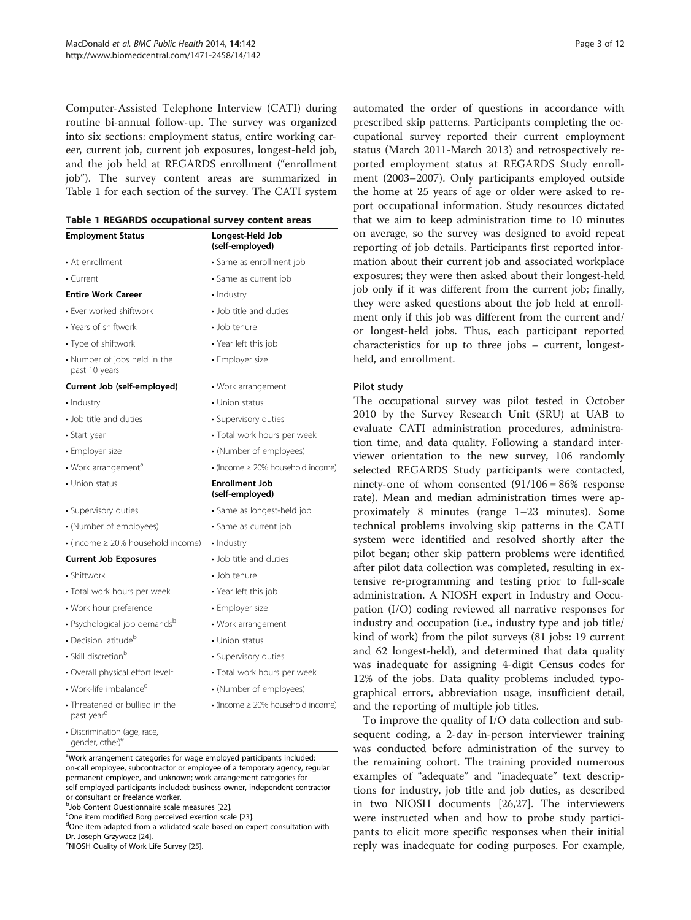Computer-Assisted Telephone Interview (CATI) during routine bi-annual follow-up. The survey was organized into six sections: employment status, entire working career, current job, current job exposures, longest-held job, and the job held at REGARDS enrollment ("enrollment job"). The survey content areas are summarized in Table 1 for each section of the survey. The CATI system

| Table 1 REGARDS occupational survey content areas |  |  |  |  |
|---------------------------------------------------|--|--|--|--|
|---------------------------------------------------|--|--|--|--|

| <b>Employment Status</b>                                 | Longest-Held Job<br>(self-employed)            |  |  |
|----------------------------------------------------------|------------------------------------------------|--|--|
| • At enrollment                                          | · Same as enrollment job                       |  |  |
| $\cdot$ Current                                          | · Same as current job                          |  |  |
| <b>Entire Work Career</b>                                | • Industry                                     |  |  |
| • Ever worked shiftwork                                  | • Job title and duties                         |  |  |
| • Years of shiftwork                                     | · Job tenure                                   |  |  |
| • Type of shiftwork                                      | • Year left this job                           |  |  |
| • Number of jobs held in the<br>past 10 years            | • Employer size                                |  |  |
| Current Job (self-employed)                              | • Work arrangement                             |  |  |
| • Industry                                               | · Union status                                 |  |  |
| • Job title and duties                                   | · Supervisory duties                           |  |  |
| • Start year                                             | · Total work hours per week                    |  |  |
| • Employer size                                          | • (Number of employees)                        |  |  |
| • Work arrangement <sup>a</sup>                          | $\bullet$ (Income $\geq$ 20% household income) |  |  |
| • Union status                                           | <b>Enrollment Job</b><br>(self-employed)       |  |  |
| · Supervisory duties                                     | · Same as longest-held job                     |  |  |
| • (Number of employees)                                  | · Same as current job                          |  |  |
| • (Income ≥ 20% household income)                        | • Industry                                     |  |  |
| <b>Current Job Exposures</b>                             | • Job title and duties                         |  |  |
| · Shiftwork                                              | • Job tenure                                   |  |  |
| · Total work hours per week                              | • Year left this job                           |  |  |
| • Work hour preference                                   | • Employer size                                |  |  |
| · Psychological job demandsb                             | • Work arrangement                             |  |  |
| • Decision latitude <sup>b</sup>                         | • Union status                                 |  |  |
| • Skill discretion <sup>b</sup>                          | • Supervisory duties                           |  |  |
| • Overall physical effort level <sup>c</sup>             | · Total work hours per week                    |  |  |
| • Work-life imbalance <sup>d</sup>                       | • (Number of employees)                        |  |  |
| · Threatened or bullied in the<br>past vear <sup>e</sup> | • (Income ≥ 20% household income)              |  |  |

aWork arrangement categories for wage employed participants included: on-call employee, subcontractor or employee of a temporary agency, regular permanent employee, and unknown; work arrangement categories for self-employed participants included: business owner, independent contractor or consultant or freelance worker.

b Job Content Questionnaire scale measures [\[22](#page-11-0)].<br>COpe item modified Borg perceived exertion sca

 $^{\circ}$ One item modified Borg perceived exertion scale [\[23](#page-11-0)].

dOne item adapted from a validated scale based on expert consultation with Dr. Joseph Grzywacz [\[24\]](#page-11-0).

<sup>e</sup>NIOSH Quality of Work Life Survey [[25\]](#page-11-0).

• Discrimination (age, race, gender, other) $e$ 

automated the order of questions in accordance with prescribed skip patterns. Participants completing the occupational survey reported their current employment status (March 2011-March 2013) and retrospectively reported employment status at REGARDS Study enrollment (2003–2007). Only participants employed outside the home at 25 years of age or older were asked to report occupational information. Study resources dictated that we aim to keep administration time to 10 minutes on average, so the survey was designed to avoid repeat reporting of job details. Participants first reported information about their current job and associated workplace exposures; they were then asked about their longest-held job only if it was different from the current job; finally, they were asked questions about the job held at enrollment only if this job was different from the current and/ or longest-held jobs. Thus, each participant reported characteristics for up to three jobs – current, longestheld, and enrollment.

#### Pilot study

The occupational survey was pilot tested in October 2010 by the Survey Research Unit (SRU) at UAB to evaluate CATI administration procedures, administration time, and data quality. Following a standard interviewer orientation to the new survey, 106 randomly selected REGARDS Study participants were contacted, ninety-one of whom consented  $(91/106 = 86\%$  response rate). Mean and median administration times were approximately 8 minutes (range 1–23 minutes). Some technical problems involving skip patterns in the CATI system were identified and resolved shortly after the pilot began; other skip pattern problems were identified after pilot data collection was completed, resulting in extensive re-programming and testing prior to full-scale administration. A NIOSH expert in Industry and Occupation (I/O) coding reviewed all narrative responses for industry and occupation (i.e., industry type and job title/ kind of work) from the pilot surveys (81 jobs: 19 current and 62 longest-held), and determined that data quality was inadequate for assigning 4-digit Census codes for 12% of the jobs. Data quality problems included typographical errors, abbreviation usage, insufficient detail, and the reporting of multiple job titles.

To improve the quality of I/O data collection and subsequent coding, a 2-day in-person interviewer training was conducted before administration of the survey to the remaining cohort. The training provided numerous examples of "adequate" and "inadequate" text descriptions for industry, job title and job duties, as described in two NIOSH documents [[26,27\]](#page-11-0). The interviewers were instructed when and how to probe study participants to elicit more specific responses when their initial reply was inadequate for coding purposes. For example,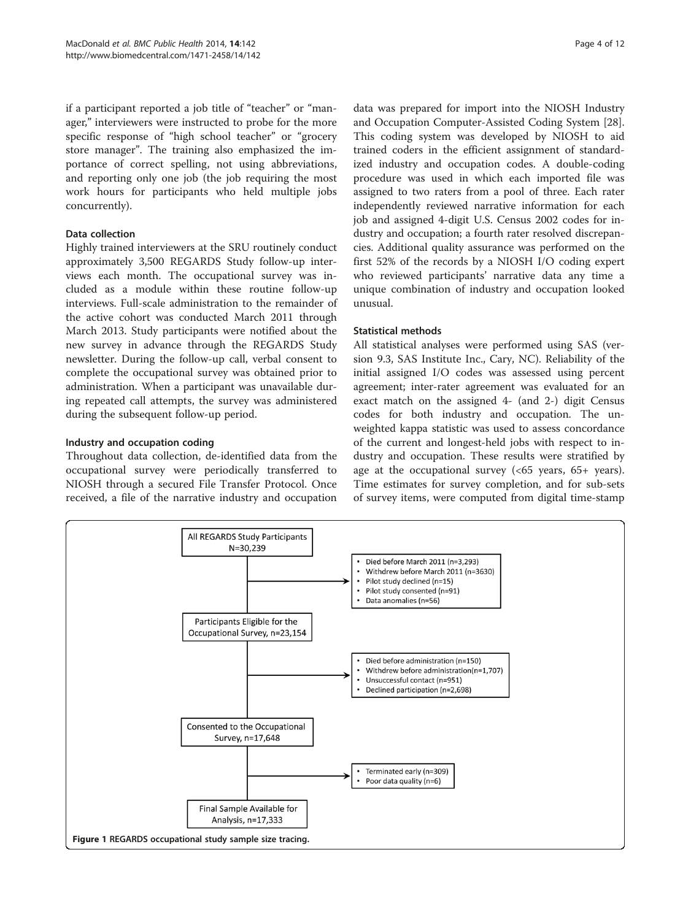<span id="page-3-0"></span>if a participant reported a job title of "teacher" or "manager," interviewers were instructed to probe for the more specific response of "high school teacher" or "grocery store manager". The training also emphasized the importance of correct spelling, not using abbreviations, and reporting only one job (the job requiring the most work hours for participants who held multiple jobs concurrently).

# Data collection

Highly trained interviewers at the SRU routinely conduct approximately 3,500 REGARDS Study follow-up interviews each month. The occupational survey was included as a module within these routine follow-up interviews. Full-scale administration to the remainder of the active cohort was conducted March 2011 through March 2013. Study participants were notified about the new survey in advance through the REGARDS Study newsletter. During the follow-up call, verbal consent to complete the occupational survey was obtained prior to administration. When a participant was unavailable during repeated call attempts, the survey was administered during the subsequent follow-up period.

# Industry and occupation coding

Throughout data collection, de-identified data from the occupational survey were periodically transferred to NIOSH through a secured File Transfer Protocol. Once received, a file of the narrative industry and occupation

data was prepared for import into the NIOSH Industry and Occupation Computer-Assisted Coding System [\[28](#page-11-0)]. This coding system was developed by NIOSH to aid trained coders in the efficient assignment of standardized industry and occupation codes. A double-coding procedure was used in which each imported file was assigned to two raters from a pool of three. Each rater independently reviewed narrative information for each job and assigned 4-digit U.S. Census 2002 codes for industry and occupation; a fourth rater resolved discrepancies. Additional quality assurance was performed on the first 52% of the records by a NIOSH I/O coding expert who reviewed participants' narrative data any time a unique combination of industry and occupation looked unusual.

# Statistical methods

All statistical analyses were performed using SAS (version 9.3, SAS Institute Inc., Cary, NC). Reliability of the initial assigned I/O codes was assessed using percent agreement; inter-rater agreement was evaluated for an exact match on the assigned 4- (and 2-) digit Census codes for both industry and occupation. The unweighted kappa statistic was used to assess concordance of the current and longest-held jobs with respect to industry and occupation. These results were stratified by age at the occupational survey (<65 years, 65+ years). Time estimates for survey completion, and for sub-sets of survey items, were computed from digital time-stamp

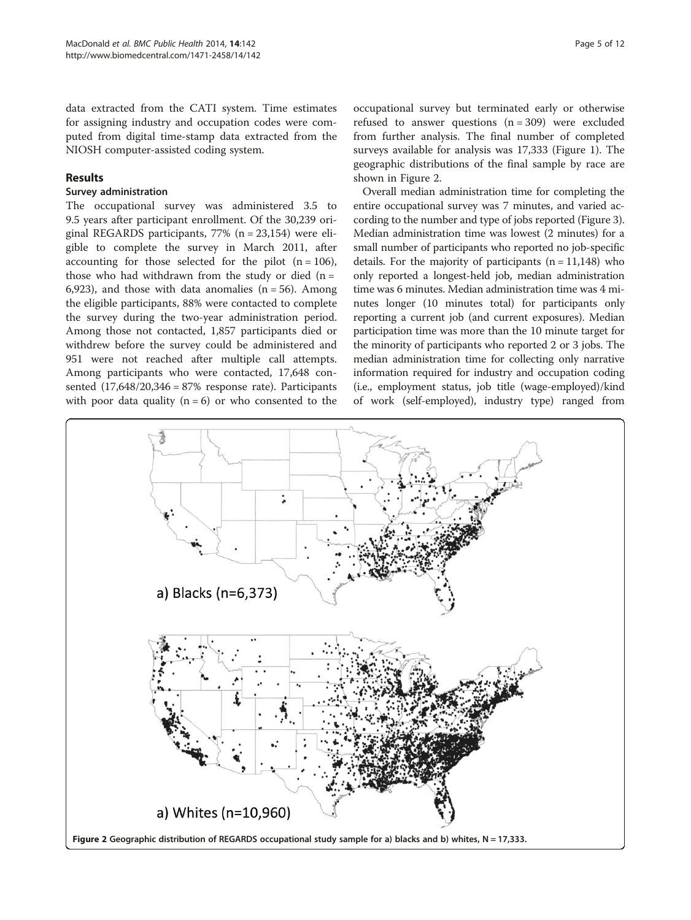data extracted from the CATI system. Time estimates for assigning industry and occupation codes were computed from digital time-stamp data extracted from the NIOSH computer-assisted coding system.

#### Results

#### Survey administration

The occupational survey was administered 3.5 to 9.5 years after participant enrollment. Of the 30,239 original REGARDS participants, 77% (n = 23,154) were eligible to complete the survey in March 2011, after accounting for those selected for the pilot  $(n = 106)$ , those who had withdrawn from the study or died  $(n =$ 6,923), and those with data anomalies  $(n = 56)$ . Among the eligible participants, 88% were contacted to complete the survey during the two-year administration period. Among those not contacted, 1,857 participants died or withdrew before the survey could be administered and 951 were not reached after multiple call attempts. Among participants who were contacted, 17,648 consented  $(17,648/20,346 = 87%$  response rate). Participants with poor data quality  $(n = 6)$  or who consented to the

occupational survey but terminated early or otherwise refused to answer questions  $(n = 309)$  were excluded from further analysis. The final number of completed surveys available for analysis was 17,333 (Figure [1\)](#page-3-0). The geographic distributions of the final sample by race are shown in Figure 2.

Overall median administration time for completing the entire occupational survey was 7 minutes, and varied according to the number and type of jobs reported (Figure [3](#page-5-0)). Median administration time was lowest (2 minutes) for a small number of participants who reported no job-specific details. For the majority of participants  $(n = 11,148)$  who only reported a longest-held job, median administration time was 6 minutes. Median administration time was 4 minutes longer (10 minutes total) for participants only reporting a current job (and current exposures). Median participation time was more than the 10 minute target for the minority of participants who reported 2 or 3 jobs. The median administration time for collecting only narrative information required for industry and occupation coding (i.e., employment status, job title (wage-employed)/kind of work (self-employed), industry type) ranged from

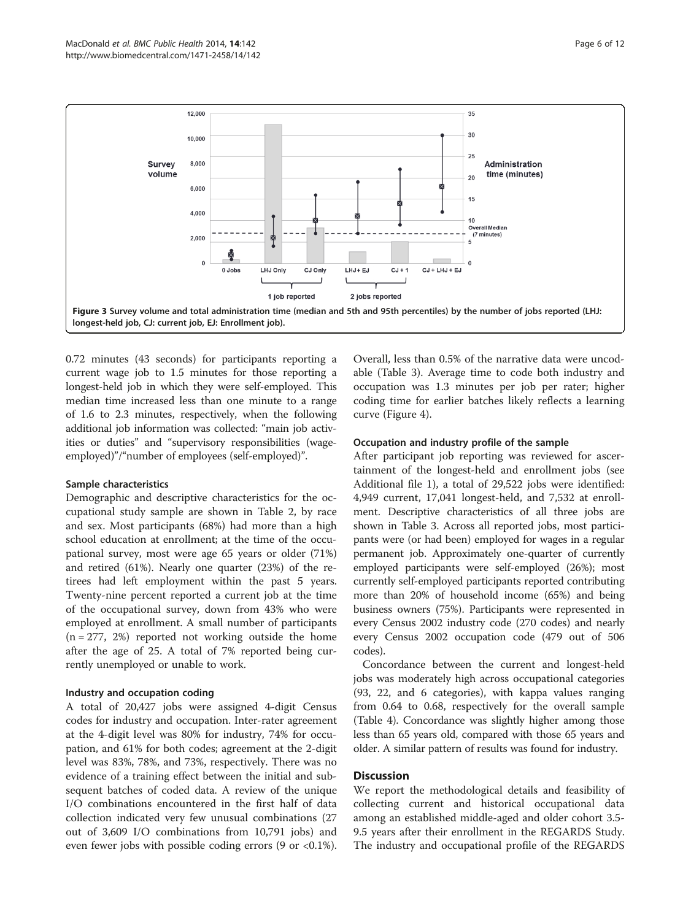<span id="page-5-0"></span>

0.72 minutes (43 seconds) for participants reporting a current wage job to 1.5 minutes for those reporting a longest-held job in which they were self-employed. This median time increased less than one minute to a range of 1.6 to 2.3 minutes, respectively, when the following additional job information was collected: "main job activities or duties" and "supervisory responsibilities (wageemployed)"/"number of employees (self-employed)".

#### Sample characteristics

Demographic and descriptive characteristics for the occupational study sample are shown in Table [2](#page-6-0), by race and sex. Most participants (68%) had more than a high school education at enrollment; at the time of the occupational survey, most were age 65 years or older (71%) and retired (61%). Nearly one quarter (23%) of the retirees had left employment within the past 5 years. Twenty-nine percent reported a current job at the time of the occupational survey, down from 43% who were employed at enrollment. A small number of participants  $(n = 277, 2\%)$  reported not working outside the home after the age of 25. A total of 7% reported being currently unemployed or unable to work.

#### Industry and occupation coding

A total of 20,427 jobs were assigned 4-digit Census codes for industry and occupation. Inter-rater agreement at the 4-digit level was 80% for industry, 74% for occupation, and 61% for both codes; agreement at the 2-digit level was 83%, 78%, and 73%, respectively. There was no evidence of a training effect between the initial and subsequent batches of coded data. A review of the unique I/O combinations encountered in the first half of data collection indicated very few unusual combinations (27 out of 3,609 I/O combinations from 10,791 jobs) and even fewer jobs with possible coding errors (9 or <0.1%).

Overall, less than 0.5% of the narrative data were uncodable (Table [3](#page-7-0)). Average time to code both industry and occupation was 1.3 minutes per job per rater; higher coding time for earlier batches likely reflects a learning curve (Figure [4](#page-9-0)).

### Occupation and industry profile of the sample

After participant job reporting was reviewed for ascertainment of the longest-held and enrollment jobs (see Additional file [1\)](#page-10-0), a total of 29,522 jobs were identified: 4,949 current, 17,041 longest-held, and 7,532 at enrollment. Descriptive characteristics of all three jobs are shown in Table [3](#page-7-0). Across all reported jobs, most participants were (or had been) employed for wages in a regular permanent job. Approximately one-quarter of currently employed participants were self-employed (26%); most currently self-employed participants reported contributing more than 20% of household income (65%) and being business owners (75%). Participants were represented in every Census 2002 industry code (270 codes) and nearly every Census 2002 occupation code (479 out of 506 codes).

Concordance between the current and longest-held jobs was moderately high across occupational categories (93, 22, and 6 categories), with kappa values ranging from 0.64 to 0.68, respectively for the overall sample (Table [4](#page-9-0)). Concordance was slightly higher among those less than 65 years old, compared with those 65 years and older. A similar pattern of results was found for industry.

# **Discussion**

We report the methodological details and feasibility of collecting current and historical occupational data among an established middle-aged and older cohort 3.5- 9.5 years after their enrollment in the REGARDS Study. The industry and occupational profile of the REGARDS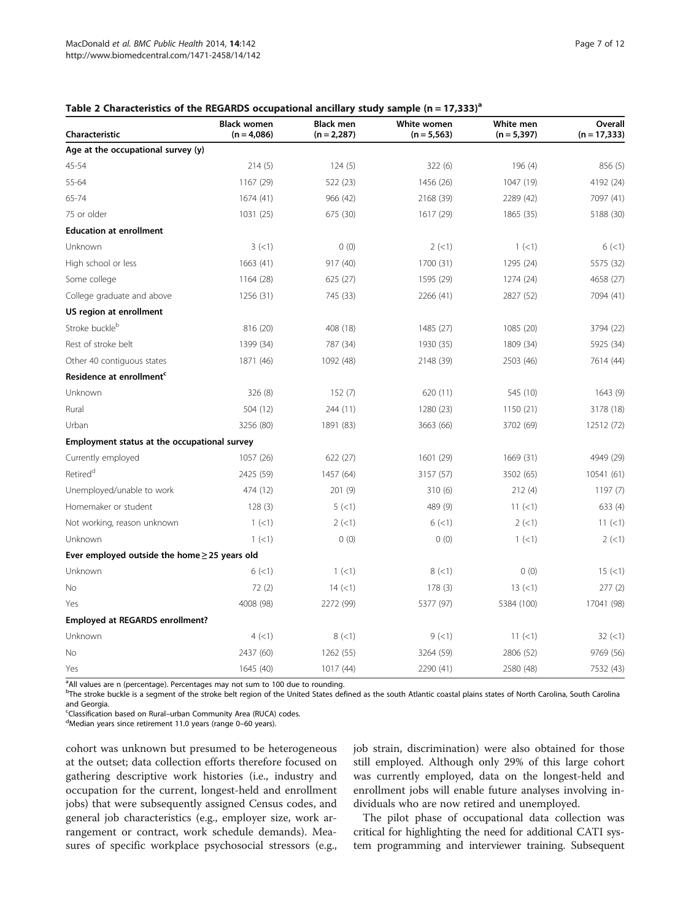#### <span id="page-6-0"></span>Table 2 Characteristics of the REGARDS occupational ancillary study sample  $(n = 17,333)^{a}$

| Characteristic                                     | <b>Black women</b><br>$(n = 4,086)$ | <b>Black men</b><br>$(n = 2, 287)$ | White women<br>$(n = 5, 563)$ | White men<br>$(n = 5, 397)$ | Overall<br>$(n = 17, 333)$ |
|----------------------------------------------------|-------------------------------------|------------------------------------|-------------------------------|-----------------------------|----------------------------|
| Age at the occupational survey (y)                 |                                     |                                    |                               |                             |                            |
| 45-54                                              | 214(5)                              | 124(5)                             | 322 (6)                       | 196(4)                      | 856 (5)                    |
| 55-64                                              | 1167 (29)                           | 522 (23)                           | 1456 (26)                     | 1047 (19)                   | 4192 (24)                  |
| 65-74                                              | 1674 (41)                           | 966 (42)                           | 2168 (39)                     | 2289 (42)                   | 7097 (41)                  |
| 75 or older                                        | 1031 (25)                           | 675 (30)                           | 1617 (29)                     | 1865 (35)                   | 5188 (30)                  |
| <b>Education at enrollment</b>                     |                                     |                                    |                               |                             |                            |
| Unknown                                            | 3(<1)                               | 0(0)                               | 2(<1)                         | 1 (< 1)                     | 6(<1)                      |
| High school or less                                | 1663(41)                            | 917 (40)                           | 1700 (31)                     | 1295 (24)                   | 5575 (32)                  |
| Some college                                       | 1164 (28)                           | 625 (27)                           | 1595 (29)                     | 1274 (24)                   | 4658 (27)                  |
| College graduate and above                         | 1256 (31)                           | 745 (33)                           | 2266 (41)                     | 2827 (52)                   | 7094 (41)                  |
| US region at enrollment                            |                                     |                                    |                               |                             |                            |
| Stroke buckleb                                     | 816 (20)                            | 408 (18)                           | 1485 (27)                     | 1085 (20)                   | 3794 (22)                  |
| Rest of stroke belt                                | 1399 (34)                           | 787 (34)                           | 1930 (35)                     | 1809 (34)                   | 5925 (34)                  |
| Other 40 contiguous states                         | 1871 (46)                           | 1092 (48)                          | 2148 (39)                     | 2503 (46)                   | 7614 (44)                  |
| Residence at enrollment <sup>c</sup>               |                                     |                                    |                               |                             |                            |
| Unknown                                            | 326(8)                              | 152(7)                             | 620 (11)                      | 545 (10)                    | 1643(9)                    |
| Rural                                              | 504 (12)                            | 244 (11)                           | 1280 (23)                     | 1150 (21)                   | 3178 (18)                  |
| Urban                                              | 3256 (80)                           | 1891 (83)                          | 3663 (66)                     | 3702 (69)                   | 12512 (72)                 |
| Employment status at the occupational survey       |                                     |                                    |                               |                             |                            |
| Currently employed                                 | 1057 (26)                           | 622 (27)                           | 1601 (29)                     | 1669 (31)                   | 4949 (29)                  |
| Retired <sup>d</sup>                               | 2425 (59)                           | 1457 (64)                          | 3157 (57)                     | 3502 (65)                   | 10541 (61)                 |
| Unemployed/unable to work                          | 474 (12)                            | 201(9)                             | 310(6)                        | 212(4)                      | 1197(7)                    |
| Homemaker or student                               | 128(3)                              | 5(1)                               | 489 (9)                       | 11 $(\leq)$                 | 633(4)                     |
| Not working, reason unknown                        | 1 (< 1)                             | $2$ (<1)                           | 6(1)                          | $2$ (<1)                    | 11 (< 1)                   |
| Unknown                                            | 1 (< 1)                             | 0(0)                               | 0(0)                          | 1 (< 1)                     | 2(<1)                      |
| Ever employed outside the home $\geq$ 25 years old |                                     |                                    |                               |                             |                            |
| Unknown                                            | 6(1)                                | 1 (< 1)                            | 8(<1)                         | 0(0)                        | 15 (< 1)                   |
| No                                                 | 72(2)                               | 14 (< 1)                           | 178(3)                        | $13 (=1)$                   | 277(2)                     |
| Yes                                                | 4008 (98)                           | 2272 (99)                          | 5377 (97)                     | 5384 (100)                  | 17041 (98)                 |
| Employed at REGARDS enrollment?                    |                                     |                                    |                               |                             |                            |
| Unknown                                            | 4(<1)                               | 8(<1)                              | 9(1)                          | 11 (< 1)                    | $32 \le 1$                 |
| No                                                 | 2437 (60)                           | 1262 (55)                          | 3264 (59)                     | 2806 (52)                   | 9769 (56)                  |
| Yes                                                | 1645 (40)                           | 1017 (44)                          | 2290 (41)                     | 2580 (48)                   | 7532 (43)                  |

<sup>a</sup>All values are n (percentage). Percentages may not sum to 100 due to rounding.

bThe stroke buckle is a segment of the stroke belt region of the United States defined as the south Atlantic coastal plains states of North Carolina, South Carolina and Georgia.

<sup>c</sup>Classification based on Rural–urban Community Area (RUCA) codes.<br><sup>d</sup>Median vears since retirement 11.0 vears (range 0–60 vears)

Median years since retirement 11.0 years (range 0–60 years).

cohort was unknown but presumed to be heterogeneous at the outset; data collection efforts therefore focused on gathering descriptive work histories (i.e., industry and occupation for the current, longest-held and enrollment jobs) that were subsequently assigned Census codes, and general job characteristics (e.g., employer size, work arrangement or contract, work schedule demands). Measures of specific workplace psychosocial stressors (e.g.,

job strain, discrimination) were also obtained for those still employed. Although only 29% of this large cohort was currently employed, data on the longest-held and enrollment jobs will enable future analyses involving individuals who are now retired and unemployed.

The pilot phase of occupational data collection was critical for highlighting the need for additional CATI system programming and interviewer training. Subsequent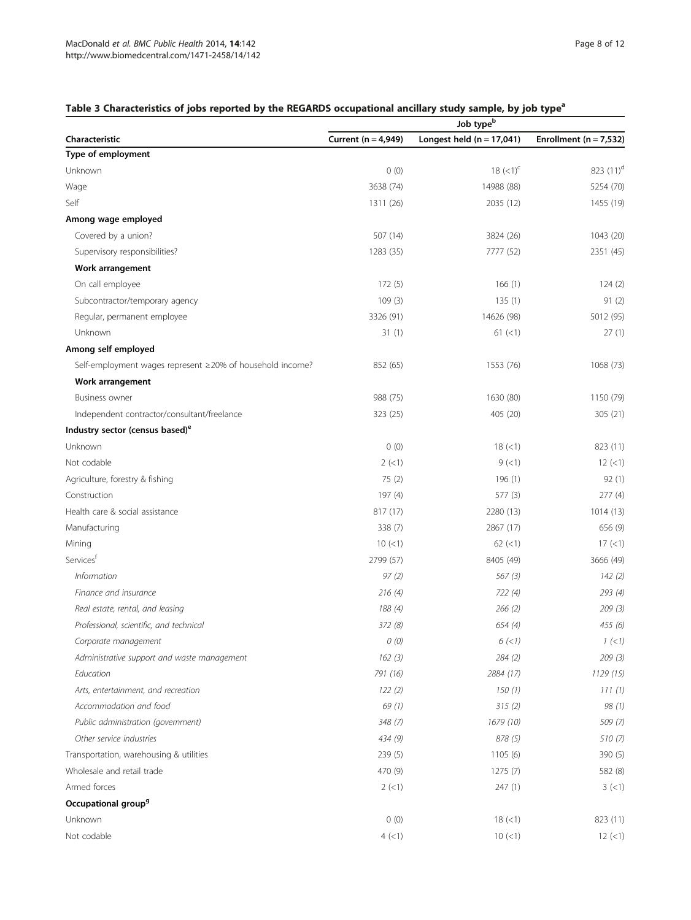# <span id="page-7-0"></span>Table 3 Characteristics of jobs reported by the REGARDS occupational ancillary study sample, by job type<sup>a</sup>

|                                                           | Job type <sup>b</sup> |                             |                            |  |
|-----------------------------------------------------------|-----------------------|-----------------------------|----------------------------|--|
| Characteristic                                            | Current (n = 4,949)   | Longest held $(n = 17,041)$ | Enrollment ( $n = 7,532$ ) |  |
| Type of employment                                        |                       |                             |                            |  |
| Unknown                                                   | 0(0)                  | 18 $(<1)^{c}$               | 823 (11) <sup>d</sup>      |  |
| Wage                                                      | 3638 (74)             | 14988 (88)                  | 5254 (70)                  |  |
| Self                                                      | 1311 (26)             | 2035 (12)                   | 1455 (19)                  |  |
| Among wage employed                                       |                       |                             |                            |  |
| Covered by a union?                                       | 507 (14)              | 3824 (26)                   | 1043 (20)                  |  |
| Supervisory responsibilities?                             | 1283 (35)             | 7777 (52)                   | 2351 (45)                  |  |
| Work arrangement                                          |                       |                             |                            |  |
| On call employee                                          | 172(5)                | 166(1)                      | 124(2)                     |  |
| Subcontractor/temporary agency                            | 109(3)                | 135(1)                      | 91(2)                      |  |
| Regular, permanent employee                               | 3326 (91)             | 14626 (98)                  | 5012 (95)                  |  |
| Unknown                                                   | 31(1)                 | $61 (\leq 1)$               | 27(1)                      |  |
| Among self employed                                       |                       |                             |                            |  |
| Self-employment wages represent ≥20% of household income? | 852 (65)              | 1553 (76)                   | 1068 (73)                  |  |
| Work arrangement                                          |                       |                             |                            |  |
| Business owner                                            | 988 (75)              | 1630 (80)                   | 1150 (79)                  |  |
| Independent contractor/consultant/freelance               | 323 (25)              | 405 (20)                    | 305 (21)                   |  |
| Industry sector (census based) <sup>e</sup>               |                       |                             |                            |  |
| Unknown                                                   | 0(0)                  | 18 (< 1)                    | 823 (11)                   |  |
| Not codable                                               | 2(<1)                 | 9(1)                        | 12(1)                      |  |
| Agriculture, forestry & fishing                           | 75(2)                 | 196(1)                      | 92(1)                      |  |
| Construction                                              | 197(4)                | 577(3)                      | 277(4)                     |  |
| Health care & social assistance                           | 817 (17)              | 2280 (13)                   | 1014(13)                   |  |
| Manufacturing                                             | 338(7)                | 2867 (17)                   | 656 (9)                    |  |
| Mining                                                    | 10 (< 1)              | $62$ ( $<$ 1)               | $17 (-1)$                  |  |
| Servicesf                                                 | 2799 (57)             | 8405 (49)                   | 3666 (49)                  |  |
| <i>Information</i>                                        | 97(2)                 | 567(3)                      | 142(2)                     |  |
| Finance and insurance                                     | 216(4)                | 722(4)                      | 293 (4)                    |  |
| Real estate, rental, and leasing                          | 188 (4)               | 266(2)                      | 209(3)                     |  |
| Professional, scientific, and technical                   | 372(8)                | 654(4)                      | 455 (6)                    |  |
| Corporate management                                      | 0(0)                  | 6(<1)                       | 1 (< 1)                    |  |
| Administrative support and waste management               | 162(3)                | 284(2)                      | 209(3)                     |  |
| Education                                                 | 791 (16)              | 2884 (17)                   | 1129 (15)                  |  |
| Arts, entertainment, and recreation                       | 122(2)                | 150 (1)                     | 111(1)                     |  |
| Accommodation and food                                    | 69(1)                 | 315(2)                      | 98 (1)                     |  |
| Public administration (government)                        | 348(7)                | 1679 (10)                   | 509 (7)                    |  |
| Other service industries                                  | 434 (9)               | 878 (5)                     | 510(7)                     |  |
| Transportation, warehousing & utilities                   | 239(5)                | 1105(6)                     | 390 (5)                    |  |
| Wholesale and retail trade                                | 470 (9)               | 1275(7)                     | 582 (8)                    |  |
| Armed forces                                              | $2$ (<1)              | 247(1)                      | 3 (< 1)                    |  |
| Occupational group <sup>9</sup>                           |                       |                             |                            |  |
| Unknown                                                   | 0(0)                  | 18 (< 1)                    | 823 (11)                   |  |
| Not codable                                               | 4(<1)                 | $10 (=1)$                   | $12$ (<1)                  |  |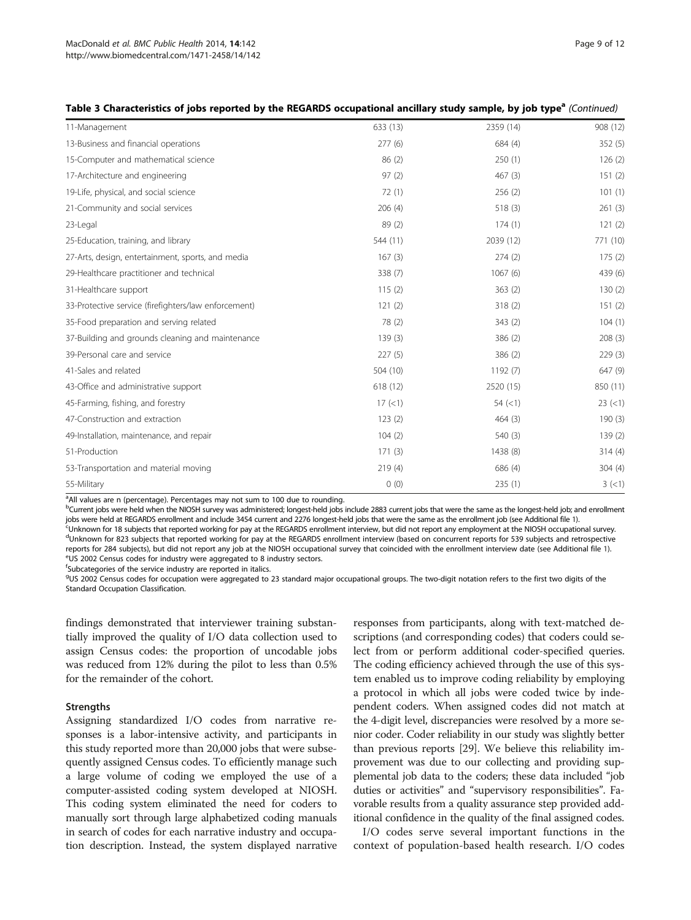| Table 3 Characteristics of Jobs reported by the REGARDS occupational ancillary study sample, by Job type" (Continued) |          |           |          |
|-----------------------------------------------------------------------------------------------------------------------|----------|-----------|----------|
| 11-Management                                                                                                         | 633 (13) | 2359 (14) | 908 (12) |
| 13-Business and financial operations                                                                                  | 277(6)   | 684(4)    | 352(5)   |
| 15-Computer and mathematical science                                                                                  | 86(2)    | 250(1)    | 126(2)   |
| 17-Architecture and engineering                                                                                       | 97(2)    | 467(3)    | 151(2)   |
| 19-Life, physical, and social science                                                                                 | 72(1)    | 256(2)    | 101(1)   |
| 21-Community and social services                                                                                      | 206(4)   | 518(3)    | 261(3)   |
| 23-Legal                                                                                                              | 89(2)    | 174(1)    | 121(2)   |
| 25-Education, training, and library                                                                                   | 544 (11) | 2039 (12) | 771 (10) |
| 27-Arts, design, entertainment, sports, and media                                                                     | 167(3)   | 274(2)    | 175(2)   |
| 29-Healthcare practitioner and technical                                                                              | 338 (7)  | 1067(6)   | 439 (6)  |
| 31-Healthcare support                                                                                                 | 115(2)   | 363(2)    | 130(2)   |
| 33-Protective service (firefighters/law enforcement)                                                                  | 121(2)   | 318(2)    | 151(2)   |
| 35-Food preparation and serving related                                                                               | 78 (2)   | 343(2)    | 104(1)   |
| 37-Building and grounds cleaning and maintenance                                                                      | 139(3)   | 386(2)    | 208(3)   |
| 39-Personal care and service                                                                                          | 227(5)   | 386(2)    | 229(3)   |
| 41-Sales and related                                                                                                  | 504(10)  | 1192(7)   | 647 (9)  |
| 43-Office and administrative support                                                                                  | 618 (12) | 2520 (15) | 850 (11) |
| 45-Farming, fishing, and forestry                                                                                     | 17 (< 1) | 54 (< 1)  | 23 (< 1) |
| 47-Construction and extraction                                                                                        | 123(2)   | 464(3)    | 190(3)   |
| 49-Installation, maintenance, and repair                                                                              | 104(2)   | 540(3)    | 139(2)   |
| 51-Production                                                                                                         | 171(3)   | 1438 (8)  | 314(4)   |
| 53-Transportation and material moving                                                                                 | 219(4)   | 686 (4)   | 304(4)   |
| 55-Military                                                                                                           | 0(0)     | 235(1)    | 3(<1)    |

Table 3 Characteristics of jobs reported by the REGARDS occupational ancillary study sample, by job type<sup>a</sup> (Continued)

<sup>a</sup>All values are n (percentage). Percentages may not sum to 100 due to rounding.

bCurrent jobs were held when the NIOSH survey was administered; longest-held jobs include 2883 current jobs that were the same as the longest-held job; and enrollment jobs were held at REGARDS enrollment and include 3454 current and 2276 longest-held jobs that were the same as the enrollment job (see Additional file [1\)](#page-10-0).

<sup>c</sup>Unknown for 18 subjects that reported working for pay at the REGARDS enrollment interview, but did not report any employment at the NIOSH occupational survey. <sup>d</sup>Unknown for 823 subjects that reported working for pay at the REGARDS enrollment interview (based on concurrent reports for 539 subjects and retrospective reports for 284 subjects), but did not report any job at the NIOSH occupational survey that coincided with the enrollment interview date (see Additional file [1\)](#page-10-0). <sup>e</sup>US 2002 Census codes for industry were aggregated to 8 industry sectors.

f Subcategories of the service industry are reported in italics.

9US 2002 Census codes for occupation were aggregated to 23 standard major occupational groups. The two-digit notation refers to the first two digits of the Standard Occupation Classification.

findings demonstrated that interviewer training substantially improved the quality of I/O data collection used to assign Census codes: the proportion of uncodable jobs was reduced from 12% during the pilot to less than 0.5% for the remainder of the cohort.

#### **Strengths**

Assigning standardized I/O codes from narrative responses is a labor-intensive activity, and participants in this study reported more than 20,000 jobs that were subsequently assigned Census codes. To efficiently manage such a large volume of coding we employed the use of a computer-assisted coding system developed at NIOSH. This coding system eliminated the need for coders to manually sort through large alphabetized coding manuals in search of codes for each narrative industry and occupation description. Instead, the system displayed narrative

responses from participants, along with text-matched descriptions (and corresponding codes) that coders could select from or perform additional coder-specified queries. The coding efficiency achieved through the use of this system enabled us to improve coding reliability by employing a protocol in which all jobs were coded twice by independent coders. When assigned codes did not match at the 4-digit level, discrepancies were resolved by a more senior coder. Coder reliability in our study was slightly better than previous reports [[29](#page-11-0)]. We believe this reliability improvement was due to our collecting and providing supplemental job data to the coders; these data included "job duties or activities" and "supervisory responsibilities". Favorable results from a quality assurance step provided additional confidence in the quality of the final assigned codes.

I/O codes serve several important functions in the context of population-based health research. I/O codes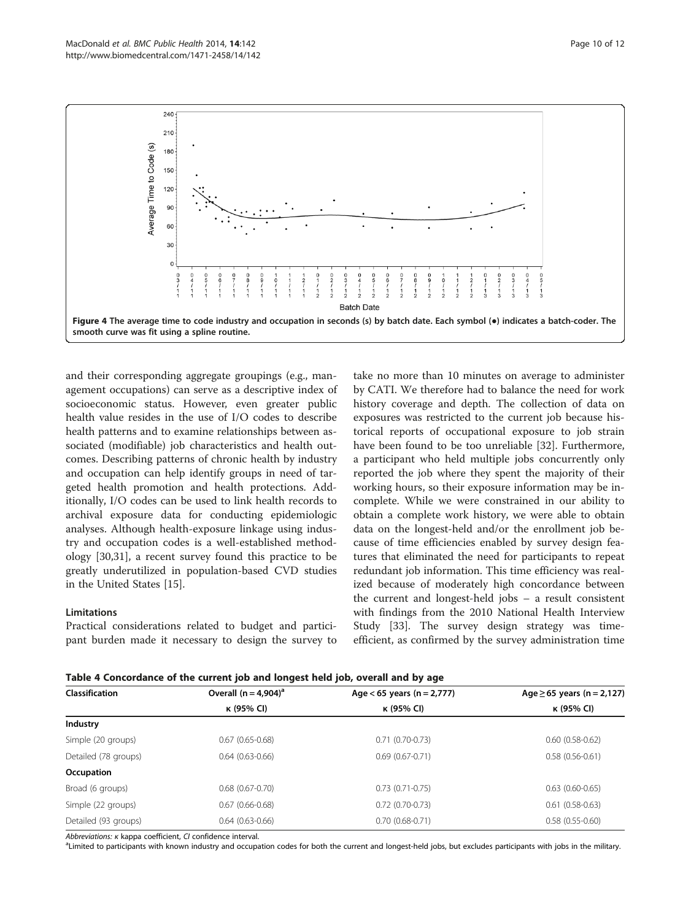<span id="page-9-0"></span>

and their corresponding aggregate groupings (e.g., management occupations) can serve as a descriptive index of socioeconomic status. However, even greater public health value resides in the use of I/O codes to describe health patterns and to examine relationships between associated (modifiable) job characteristics and health outcomes. Describing patterns of chronic health by industry and occupation can help identify groups in need of targeted health promotion and health protections. Additionally, I/O codes can be used to link health records to archival exposure data for conducting epidemiologic analyses. Although health-exposure linkage using industry and occupation codes is a well-established methodology [[30,31\]](#page-11-0), a recent survey found this practice to be greatly underutilized in population-based CVD studies in the United States [\[15](#page-11-0)].

#### Limitations

Practical considerations related to budget and participant burden made it necessary to design the survey to

take no more than 10 minutes on average to administer by CATI. We therefore had to balance the need for work history coverage and depth. The collection of data on exposures was restricted to the current job because historical reports of occupational exposure to job strain have been found to be too unreliable [[32\]](#page-11-0). Furthermore, a participant who held multiple jobs concurrently only reported the job where they spent the majority of their working hours, so their exposure information may be incomplete. While we were constrained in our ability to obtain a complete work history, we were able to obtain data on the longest-held and/or the enrollment job because of time efficiencies enabled by survey design features that eliminated the need for participants to repeat redundant job information. This time efficiency was realized because of moderately high concordance between the current and longest-held jobs – a result consistent with findings from the 2010 National Health Interview Study [[33\]](#page-11-0). The survey design strategy was timeefficient, as confirmed by the survey administration time

| Table 4 Concordance of the current job and longest held job, overall and by age |  |  |  |
|---------------------------------------------------------------------------------|--|--|--|
|---------------------------------------------------------------------------------|--|--|--|

| <b>Classification</b> | Overall $(n = 4.904)^a$ | Age $<$ 65 years (n = 2,777) | Age $\ge$ 65 years (n = 2,127) |  |
|-----------------------|-------------------------|------------------------------|--------------------------------|--|
|                       | к (95% CI)              | к (95% CI)                   | к (95% CI)                     |  |
| Industry              |                         |                              |                                |  |
| Simple (20 groups)    | $0.67(0.65 - 0.68)$     | $0.71(0.70-0.73)$            | $0.60(0.58-0.62)$              |  |
| Detailed (78 groups)  | $0.64(0.63 - 0.66)$     | $0.69(0.67 - 0.71)$          | $0.58(0.56-0.61)$              |  |
| Occupation            |                         |                              |                                |  |
| Broad (6 groups)      | $0.68$ $(0.67 - 0.70)$  | $0.73(0.71-0.75)$            | $0.63$ (0.60-0.65)             |  |
| Simple (22 groups)    | $0.67(0.66 - 0.68)$     | $0.72(0.70-0.73)$            | $0.61(0.58-0.63)$              |  |
| Detailed (93 groups)  | $0.64(0.63-0.66)$       | $0.70(0.68-0.71)$            | $0.58(0.55-0.60)$              |  |

Abbreviations: κ kappa coefficient, CI confidence interval.

<sup>a</sup> Limited to participants with known industry and occupation codes for both the current and longest-held jobs, but excludes participants with jobs in the military.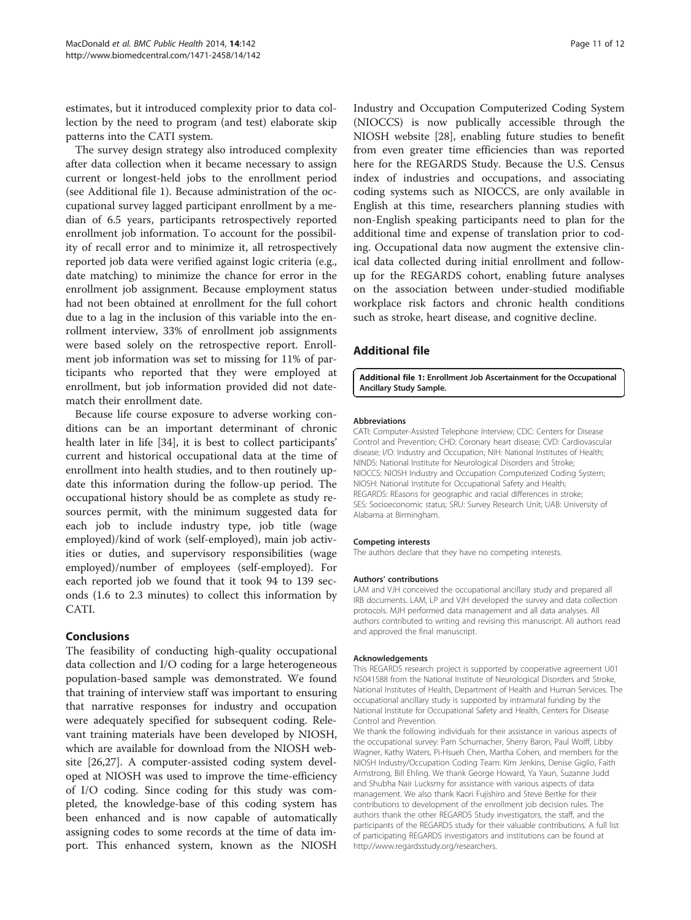<span id="page-10-0"></span>estimates, but it introduced complexity prior to data collection by the need to program (and test) elaborate skip patterns into the CATI system.

The survey design strategy also introduced complexity after data collection when it became necessary to assign current or longest-held jobs to the enrollment period (see Additional file 1). Because administration of the occupational survey lagged participant enrollment by a median of 6.5 years, participants retrospectively reported enrollment job information. To account for the possibility of recall error and to minimize it, all retrospectively reported job data were verified against logic criteria (e.g., date matching) to minimize the chance for error in the enrollment job assignment. Because employment status had not been obtained at enrollment for the full cohort due to a lag in the inclusion of this variable into the enrollment interview, 33% of enrollment job assignments were based solely on the retrospective report. Enrollment job information was set to missing for 11% of participants who reported that they were employed at enrollment, but job information provided did not datematch their enrollment date.

Because life course exposure to adverse working conditions can be an important determinant of chronic health later in life [[34\]](#page-11-0), it is best to collect participants' current and historical occupational data at the time of enrollment into health studies, and to then routinely update this information during the follow-up period. The occupational history should be as complete as study resources permit, with the minimum suggested data for each job to include industry type, job title (wage employed)/kind of work (self-employed), main job activities or duties, and supervisory responsibilities (wage employed)/number of employees (self-employed). For each reported job we found that it took 94 to 139 seconds (1.6 to 2.3 minutes) to collect this information by CATI.

#### Conclusions

The feasibility of conducting high-quality occupational data collection and I/O coding for a large heterogeneous population-based sample was demonstrated. We found that training of interview staff was important to ensuring that narrative responses for industry and occupation were adequately specified for subsequent coding. Relevant training materials have been developed by NIOSH, which are available for download from the NIOSH website [[26](#page-11-0),[27](#page-11-0)]. A computer-assisted coding system developed at NIOSH was used to improve the time-efficiency of I/O coding. Since coding for this study was completed, the knowledge-base of this coding system has been enhanced and is now capable of automatically assigning codes to some records at the time of data import. This enhanced system, known as the NIOSH

Industry and Occupation Computerized Coding System (NIOCCS) is now publically accessible through the NIOSH website [[28\]](#page-11-0), enabling future studies to benefit from even greater time efficiencies than was reported here for the REGARDS Study. Because the U.S. Census index of industries and occupations, and associating coding systems such as NIOCCS, are only available in English at this time, researchers planning studies with non-English speaking participants need to plan for the additional time and expense of translation prior to coding. Occupational data now augment the extensive clinical data collected during initial enrollment and followup for the REGARDS cohort, enabling future analyses on the association between under-studied modifiable workplace risk factors and chronic health conditions such as stroke, heart disease, and cognitive decline.

# Additional file

[Additional file 1:](http://www.biomedcentral.com/content/supplementary/1471-2458-14-142-S1.pdf) Enrollment Job Ascertainment for the Occupational Ancillary Study Sample.

#### Abbreviations

CATI: Computer-Assisted Telephone Interview; CDC: Centers for Disease Control and Prevention; CHD: Coronary heart disease; CVD: Cardiovascular disease; I/O: Industry and Occupation; NIH: National Institutes of Health; NINDS: National Institute for Neurological Disorders and Stroke; NIOCCS: NIOSH Industry and Occupation Computerized Coding System; NIOSH: National Institute for Occupational Safety and Health; REGARDS: REasons for geographic and racial differences in stroke; SES: Socioeconomic status; SRU: Survey Research Unit; UAB: University of Alabama at Birmingham.

#### Competing interests

The authors declare that they have no competing interests.

#### Authors' contributions

LAM and VJH conceived the occupational ancillary study and prepared all IRB documents. LAM, LP and VJH developed the survey and data collection protocols. MJH performed data management and all data analyses. All authors contributed to writing and revising this manuscript. All authors read and approved the final manuscript.

#### Acknowledgements

This REGARDS research project is supported by cooperative agreement U01 NS041588 from the National Institute of Neurological Disorders and Stroke, National Institutes of Health, Department of Health and Human Services. The occupational ancillary study is supported by intramural funding by the National Institute for Occupational Safety and Health, Centers for Disease Control and Prevention.

We thank the following individuals for their assistance in various aspects of the occupational survey: Pam Schumacher, Sherry Baron, Paul Wolff, Libby Wagner, Kathy Waters, Pi-Hsueh Chen, Martha Cohen, and members for the NIOSH Industry/Occupation Coding Team: Kim Jenkins, Denise Giglio, Faith Armstrong, Bill Ehling. We thank George Howard, Ya Yaun, Suzanne Judd and Shubha Nair Lucksmy for assistance with various aspects of data management. We also thank Kaori Fujishiro and Steve Bertke for their contributions to development of the enrollment job decision rules. The authors thank the other REGARDS Study investigators, the staff, and the participants of the REGARDS study for their valuable contributions. A full list of participating REGARDS investigators and institutions can be found at <http://www.regardsstudy.org/researchers>.